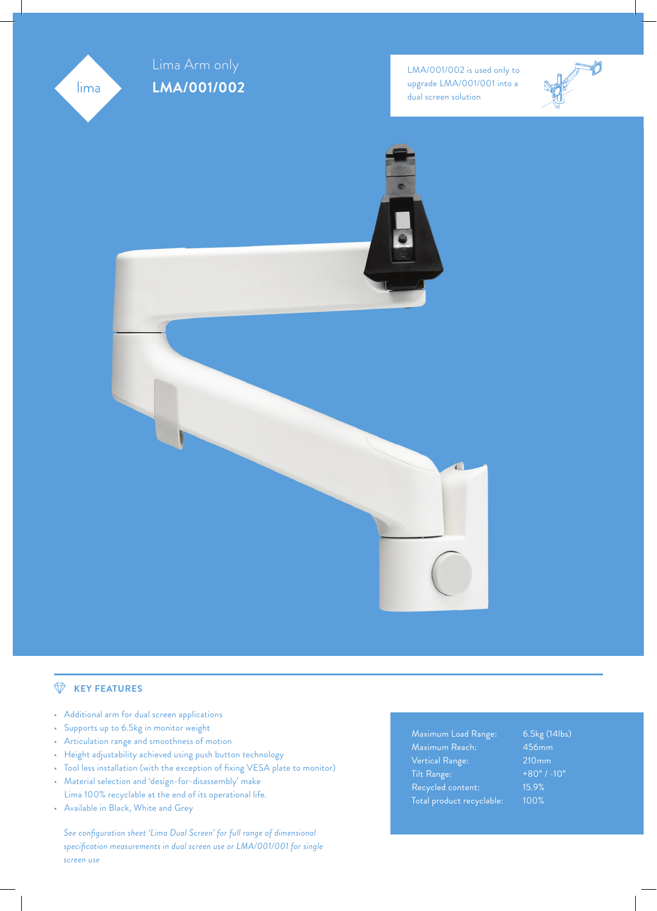

# **KEY FEATURES**

- Additional arm for dual screen applications
- Supports up to 6.5kg in monitor weight
- Articulation range and smoothness of motion
- Height adjustability achieved using push button technology
- Tool less installation (with the exception of fixing VESA plate to monitor)
- Material selection and 'design-for-disassembly' make Lima 100% recyclable at the end of its operational life.
- Available in Black, White and Grey

See configuration sheet 'Lima Dual Screen' for full range of dimensional *specifi cation measurements in dual screen use or LMA/001/001 for single screen use*

Maximum Load Range: 6.5kg (14lbs) Maximum Reach: 456mm Vertical Range: 210mm Tilt Range:  $+80^{\circ}$  / -10° Recycled content: 15.9% Total product recyclable: 100%